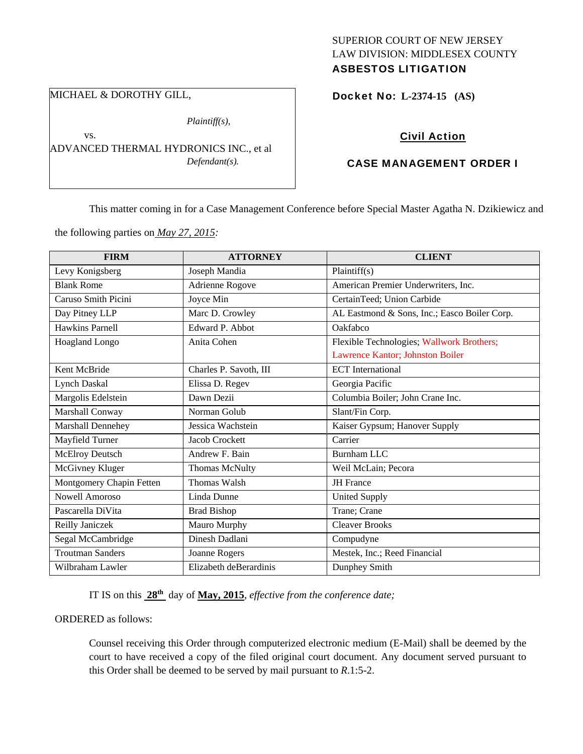#### SUPERIOR COURT OF NEW JERSEY LAW DIVISION: MIDDLESEX COUNTY ASBESTOS LITIGATION

#### Docket No: **L-2374-15 (AS)**

# Civil Action

#### CASE MANAGEMENT ORDER I

This matter coming in for a Case Management Conference before Special Master Agatha N. Dzikiewicz and

the following parties on *May 27, 2015:* 

| <b>FIRM</b>              | <b>ATTORNEY</b>        | <b>CLIENT</b>                                |
|--------------------------|------------------------|----------------------------------------------|
| Levy Konigsberg          | Joseph Mandia          | Plaintiff(s)                                 |
| <b>Blank Rome</b>        | Adrienne Rogove        | American Premier Underwriters, Inc.          |
| Caruso Smith Picini      | Joyce Min              | CertainTeed; Union Carbide                   |
| Day Pitney LLP           | Marc D. Crowley        | AL Eastmond & Sons, Inc.; Easco Boiler Corp. |
| <b>Hawkins Parnell</b>   | Edward P. Abbot        | Oakfabco                                     |
| Hoagland Longo           | Anita Cohen            | Flexible Technologies; Wallwork Brothers;    |
|                          |                        | Lawrence Kantor; Johnston Boiler             |
| Kent McBride             | Charles P. Savoth, III | <b>ECT</b> International                     |
| <b>Lynch Daskal</b>      | Elissa D. Regev        | Georgia Pacific                              |
| Margolis Edelstein       | Dawn Dezii             | Columbia Boiler; John Crane Inc.             |
| Marshall Conway          | Norman Golub           | Slant/Fin Corp.                              |
| Marshall Dennehey        | Jessica Wachstein      | Kaiser Gypsum; Hanover Supply                |
| Mayfield Turner          | Jacob Crockett         | Carrier                                      |
| McElroy Deutsch          | Andrew F. Bain         | <b>Burnham LLC</b>                           |
| McGivney Kluger          | Thomas McNulty         | Weil McLain; Pecora                          |
| Montgomery Chapin Fetten | Thomas Walsh           | <b>JH</b> France                             |
| <b>Nowell Amoroso</b>    | Linda Dunne            | <b>United Supply</b>                         |
| Pascarella DiVita        | <b>Brad Bishop</b>     | Trane; Crane                                 |
| Reilly Janiczek          | Mauro Murphy           | <b>Cleaver Brooks</b>                        |
| Segal McCambridge        | Dinesh Dadlani         | Compudyne                                    |
| <b>Troutman Sanders</b>  | Joanne Rogers          | Mestek, Inc.; Reed Financial                 |
| Wilbraham Lawler         | Elizabeth deBerardinis | Dunphey Smith                                |

IT IS on this **28th** day of **May, 2015**, *effective from the conference date;*

#### ORDERED as follows:

Counsel receiving this Order through computerized electronic medium (E-Mail) shall be deemed by the court to have received a copy of the filed original court document. Any document served pursuant to this Order shall be deemed to be served by mail pursuant to *R*.1:5-2.

# MICHAEL & DOROTHY GILL,

vs.

*Plaintiff(s),* 

ADVANCED THERMAL HYDRONICS INC., et al *Defendant(s).*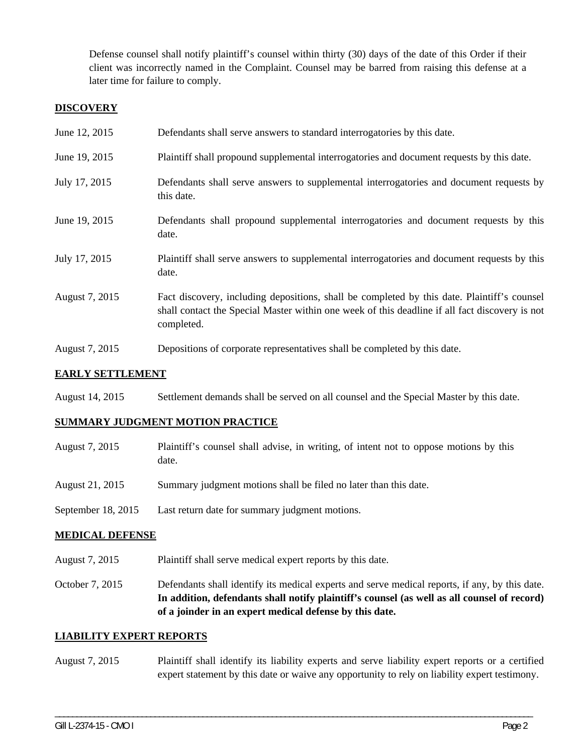Defense counsel shall notify plaintiff's counsel within thirty (30) days of the date of this Order if their client was incorrectly named in the Complaint. Counsel may be barred from raising this defense at a later time for failure to comply.

# **DISCOVERY**

| June 12, 2015  | Defendants shall serve answers to standard interrogatories by this date.                                                                                                                                    |
|----------------|-------------------------------------------------------------------------------------------------------------------------------------------------------------------------------------------------------------|
| June 19, 2015  | Plaintiff shall propound supplemental interrogatories and document requests by this date.                                                                                                                   |
| July 17, 2015  | Defendants shall serve answers to supplemental interrogatories and document requests by<br>this date.                                                                                                       |
| June 19, 2015  | Defendants shall propound supplemental interrogatories and document requests by this<br>date.                                                                                                               |
| July 17, 2015  | Plaintiff shall serve answers to supplemental interrogatories and document requests by this<br>date.                                                                                                        |
| August 7, 2015 | Fact discovery, including depositions, shall be completed by this date. Plaintiff's counsel<br>shall contact the Special Master within one week of this deadline if all fact discovery is not<br>completed. |
| August 7, 2015 | Depositions of corporate representatives shall be completed by this date.                                                                                                                                   |

# **EARLY SETTLEMENT**

August 14, 2015 Settlement demands shall be served on all counsel and the Special Master by this date.

# **SUMMARY JUDGMENT MOTION PRACTICE**

- August 7, 2015 Plaintiff's counsel shall advise, in writing, of intent not to oppose motions by this date.
- August 21, 2015 Summary judgment motions shall be filed no later than this date.
- September 18, 2015 Last return date for summary judgment motions.

# **MEDICAL DEFENSE**

- August 7, 2015 Plaintiff shall serve medical expert reports by this date.
- October 7, 2015 Defendants shall identify its medical experts and serve medical reports, if any, by this date. **In addition, defendants shall notify plaintiff's counsel (as well as all counsel of record) of a joinder in an expert medical defense by this date.**

# **LIABILITY EXPERT REPORTS**

August 7, 2015 Plaintiff shall identify its liability experts and serve liability expert reports or a certified expert statement by this date or waive any opportunity to rely on liability expert testimony.

\_\_\_\_\_\_\_\_\_\_\_\_\_\_\_\_\_\_\_\_\_\_\_\_\_\_\_\_\_\_\_\_\_\_\_\_\_\_\_\_\_\_\_\_\_\_\_\_\_\_\_\_\_\_\_\_\_\_\_\_\_\_\_\_\_\_\_\_\_\_\_\_\_\_\_\_\_\_\_\_\_\_\_\_\_\_\_\_\_\_\_\_\_\_\_\_\_\_\_\_\_\_\_\_\_\_\_\_\_\_